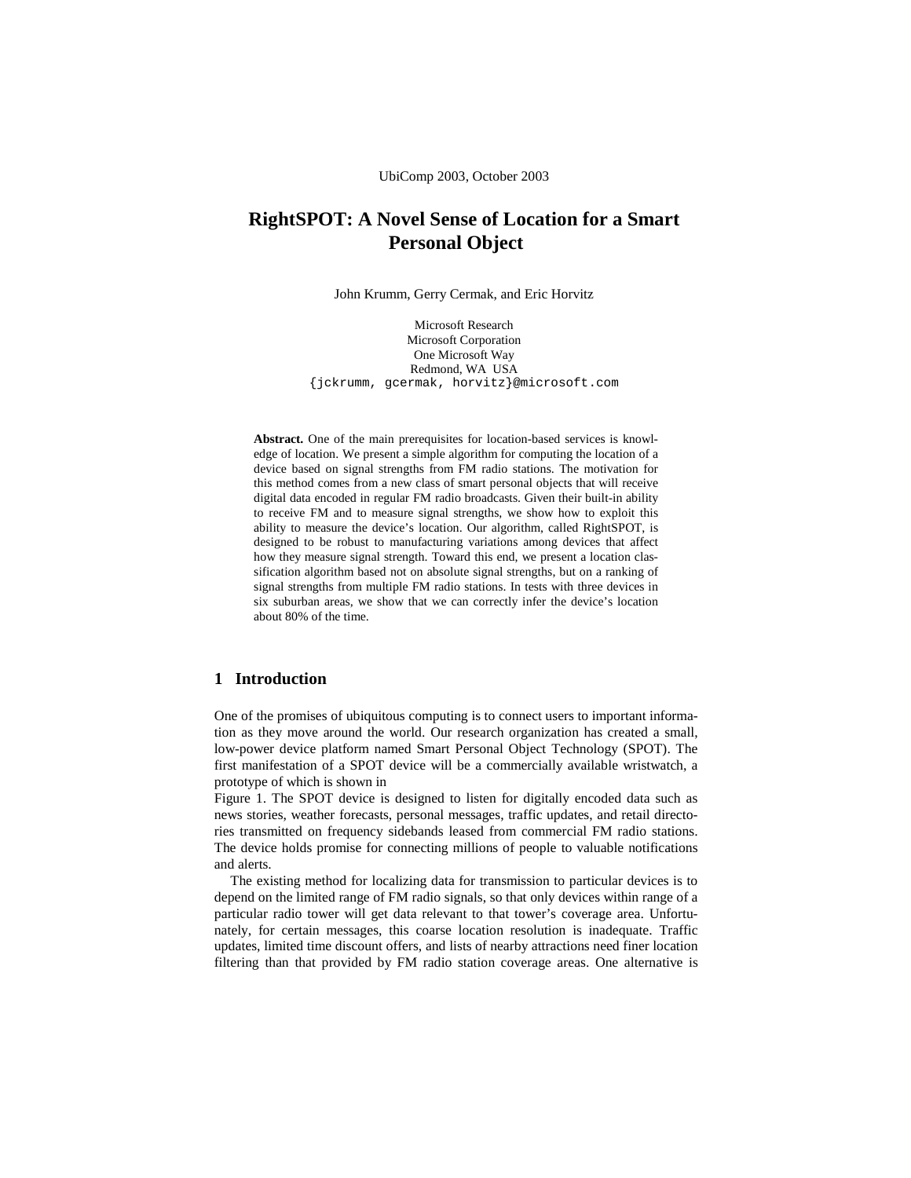# **RightSPOT: A Novel Sense of Location for a Smart Personal Object**

John Krumm, Gerry Cermak, and Eric Horvitz

Microsoft Research Microsoft Corporation One Microsoft Way Redmond, WA USA {jckrumm, gcermak, horvitz}@microsoft.com

**Abstract.** One of the main prerequisites for location-based services is knowledge of location. We present a simple algorithm for computing the location of a device based on signal strengths from FM radio stations. The motivation for this method comes from a new class of smart personal objects that will receive digital data encoded in regular FM radio broadcasts. Given their built-in ability to receive FM and to measure signal strengths, we show how to exploit this ability to measure the device's location. Our algorithm, called RightSPOT, is designed to be robust to manufacturing variations among devices that affect how they measure signal strength. Toward this end, we present a location classification algorithm based not on absolute signal strengths, but on a ranking of signal strengths from multiple FM radio stations. In tests with three devices in six suburban areas, we show that we can correctly infer the device's location about 80% of the time.

### **1 Introduction**

One of the promises of ubiquitous computing is to connect users to important information as they move around the world. Our research organization has created a small, low-power device platform named Smart Personal Object Technology (SPOT). The first manifestation of a SPOT device will be a commercially available wristwatch, a prototype of which is shown in

Figure 1. The SPOT device is designed to listen for digitally encoded data such as news stories, weather forecasts, personal messages, traffic updates, and retail directories transmitted on frequency sidebands leased from commercial FM radio stations. The device holds promise for connecting millions of people to valuable notifications and alerts.

The existing method for localizing data for transmission to particular devices is to depend on the limited range of FM radio signals, so that only devices within range of a particular radio tower will get data relevant to that tower's coverage area. Unfortunately, for certain messages, this coarse location resolution is inadequate. Traffic updates, limited time discount offers, and lists of nearby attractions need finer location filtering than that provided by FM radio station coverage areas. One alternative is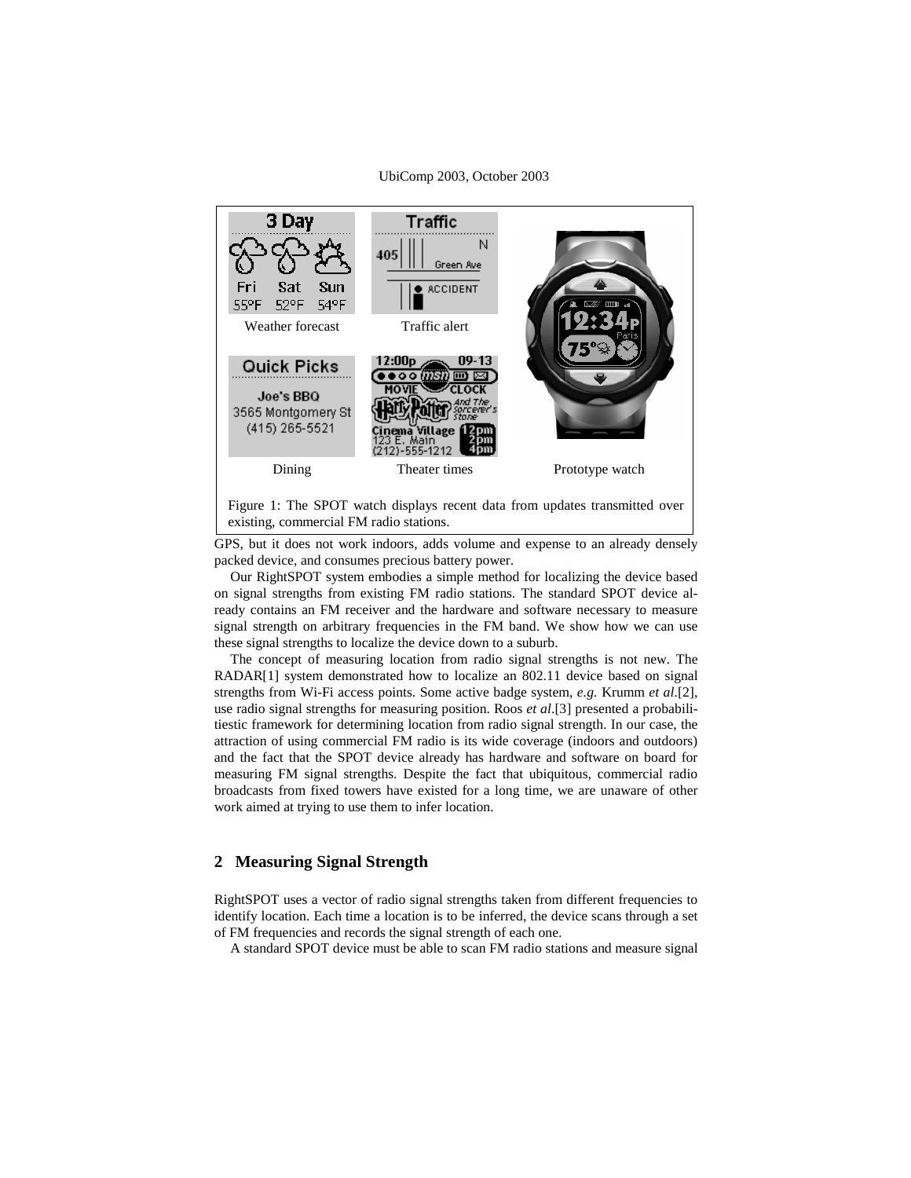UbiComp 2003, October 2003



GPS, but it does not work indoors, adds volume and expense to an already densely packed device, and consumes precious battery power.

Our RightSPOT system embodies a simple method for localizing the device based on signal strengths from existing FM radio stations. The standard SPOT device already contains an FM receiver and the hardware and software necessary to measure signal strength on arbitrary frequencies in the FM band. We show how we can use these signal strengths to localize the device down to a suburb.

The concept of measuring location from radio signal strengths is not new. The RADAR[1] system demonstrated how to localize an 802.11 device based on signal strengths from Wi-Fi access points. Some active badge system, *e.g.* Krumm *et al*.[2], use radio signal strengths for measuring position. Roos *et al*.[3] presented a probabilitiestic framework for determining location from radio signal strength. In our case, the attraction of using commercial FM radio is its wide coverage (indoors and outdoors) and the fact that the SPOT device already has hardware and software on board for measuring FM signal strengths. Despite the fact that ubiquitous, commercial radio broadcasts from fixed towers have existed for a long time, we are unaware of other work aimed at trying to use them to infer location.

## **2 Measuring Signal Strength**

RightSPOT uses a vector of radio signal strengths taken from different frequencies to identify location. Each time a location is to be inferred, the device scans through a set of FM frequencies and records the signal strength of each one.

A standard SPOT device must be able to scan FM radio stations and measure signal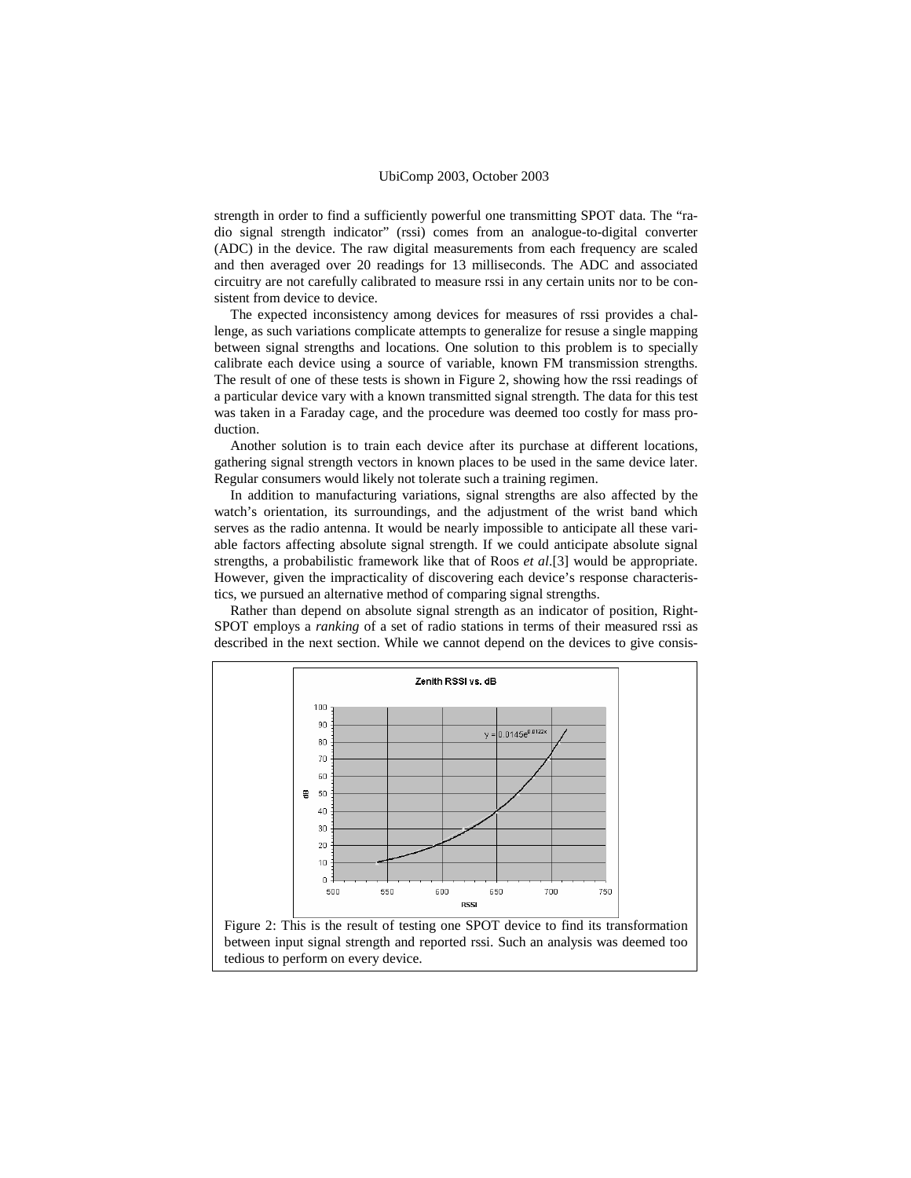strength in order to find a sufficiently powerful one transmitting SPOT data. The "radio signal strength indicator" (rssi) comes from an analogue-to-digital converter (ADC) in the device. The raw digital measurements from each frequency are scaled and then averaged over 20 readings for 13 milliseconds. The ADC and associated circuitry are not carefully calibrated to measure rssi in any certain units nor to be consistent from device to device.

The expected inconsistency among devices for measures of rssi provides a challenge, as such variations complicate attempts to generalize for resuse a single mapping between signal strengths and locations. One solution to this problem is to specially calibrate each device using a source of variable, known FM transmission strengths. The result of one of these tests is shown in Figure 2, showing how the rssi readings of a particular device vary with a known transmitted signal strength. The data for this test was taken in a Faraday cage, and the procedure was deemed too costly for mass production.

Another solution is to train each device after its purchase at different locations, gathering signal strength vectors in known places to be used in the same device later. Regular consumers would likely not tolerate such a training regimen.

In addition to manufacturing variations, signal strengths are also affected by the watch's orientation, its surroundings, and the adjustment of the wrist band which serves as the radio antenna. It would be nearly impossible to anticipate all these variable factors affecting absolute signal strength. If we could anticipate absolute signal strengths, a probabilistic framework like that of Roos *et al*.[3] would be appropriate. However, given the impracticality of discovering each device's response characteristics, we pursued an alternative method of comparing signal strengths.

Rather than depend on absolute signal strength as an indicator of position, Right-SPOT employs a *ranking* of a set of radio stations in terms of their measured rssi as described in the next section. While we cannot depend on the devices to give consis-



tedious to perform on every device.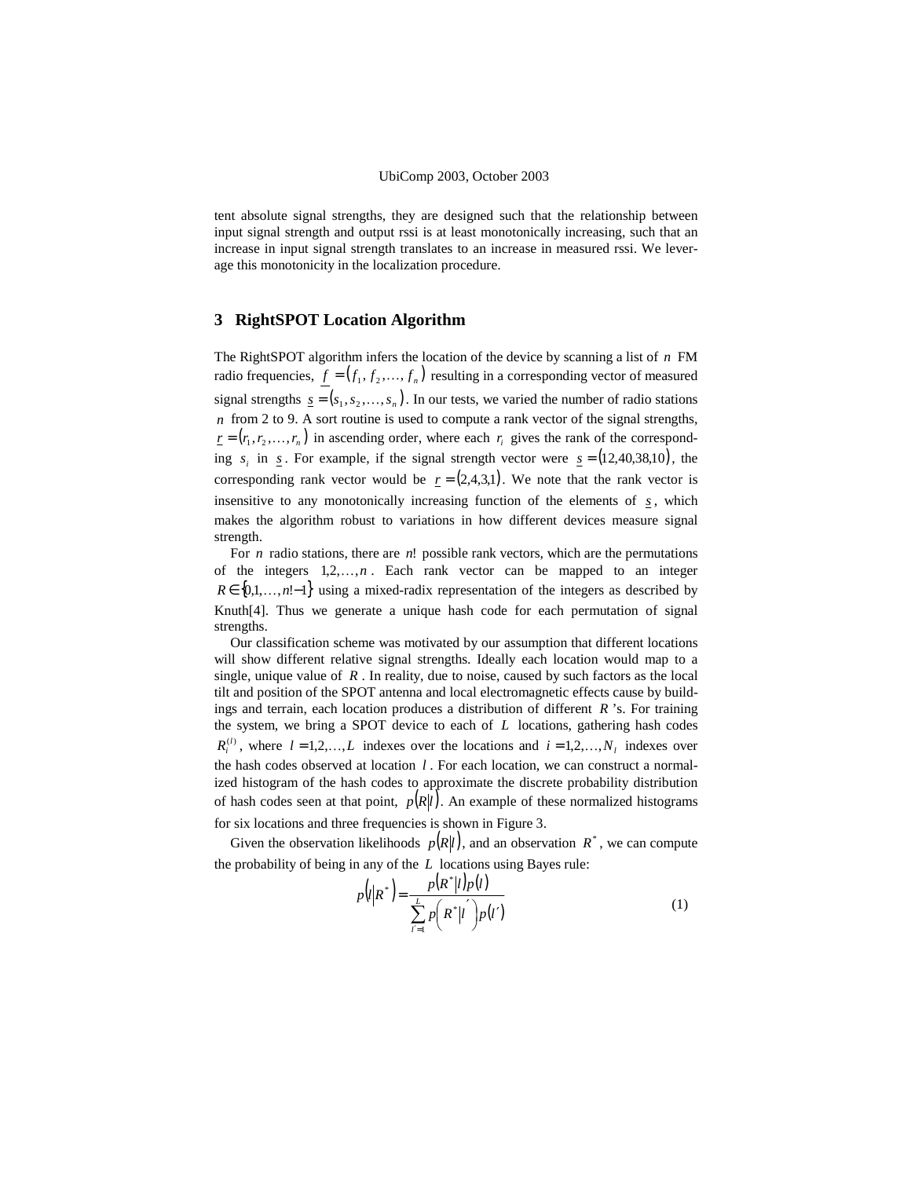tent absolute signal strengths, they are designed such that the relationship between input signal strength and output rssi is at least monotonically increasing, such that an increase in input signal strength translates to an increase in measured rssi. We leverage this monotonicity in the localization procedure.

#### **3 RightSPOT Location Algorithm**

The RightSPOT algorithm infers the location of the device by scanning a list of *n* FM radio frequencies,  $f = (f_1, f_2, \dots, f_n)$  resulting in a corresponding vector of measured signal strengths  $s = (s_1, s_2, \ldots, s_n)$ . In our tests, we varied the number of radio stations *n* from 2 to 9. A sort routine is used to compute a rank vector of the signal strengths,  $\underline{r} = (r_1, r_2, \dots, r_n)$  in ascending order, where each  $r_i$  gives the rank of the corresponding  $s_i$  in <u>s</u>. For example, if the signal strength vector were  $s_i = (12, 40, 38, 10)$ , the corresponding rank vector would be  $r = (2, 4, 3, 1)$ . We note that the rank vector is insensitive to any monotonically increasing function of the elements of  $s$ , which makes the algorithm robust to variations in how different devices measure signal strength.

For *n* radio stations, there are *n*! possible rank vectors, which are the permutations of the integers  $1, 2, \ldots, n$ . Each rank vector can be mapped to an integer  $R \in \{0,1,\ldots,n-1\}$  using a mixed-radix representation of the integers as described by Knuth[4]. Thus we generate a unique hash code for each permutation of signal strengths.

Our classification scheme was motivated by our assumption that different locations will show different relative signal strengths. Ideally each location would map to a single, unique value of  $R$ . In reality, due to noise, caused by such factors as the local tilt and position of the SPOT antenna and local electromagnetic effects cause by buildings and terrain, each location produces a distribution of different *R* 's. For training the system, we bring a SPOT device to each of *L* locations, gathering hash codes  $R_i^{(l)}$ , where  $l = 1,2,...,L$  indexes over the locations and  $i = 1,2,...,N_l$  indexes over the hash codes observed at location *l* . For each location, we can construct a normalized histogram of the hash codes to approximate the discrete probability distribution of hash codes seen at that point,  $p(R|l)$ . An example of these normalized histograms for six locations and three frequencies is shown in Figure 3.

Given the observation likelihoods  $p(R|l)$ , and an observation  $R^*$ , we can compute the probability of being in any of the *L* locations using Bayes rule:

$$
p(l|R^*) = \frac{p(R^*|l)p(l)}{\sum_{l'=1}^{L} p\left(R^*|l'\right)p(l')}
$$
 (1)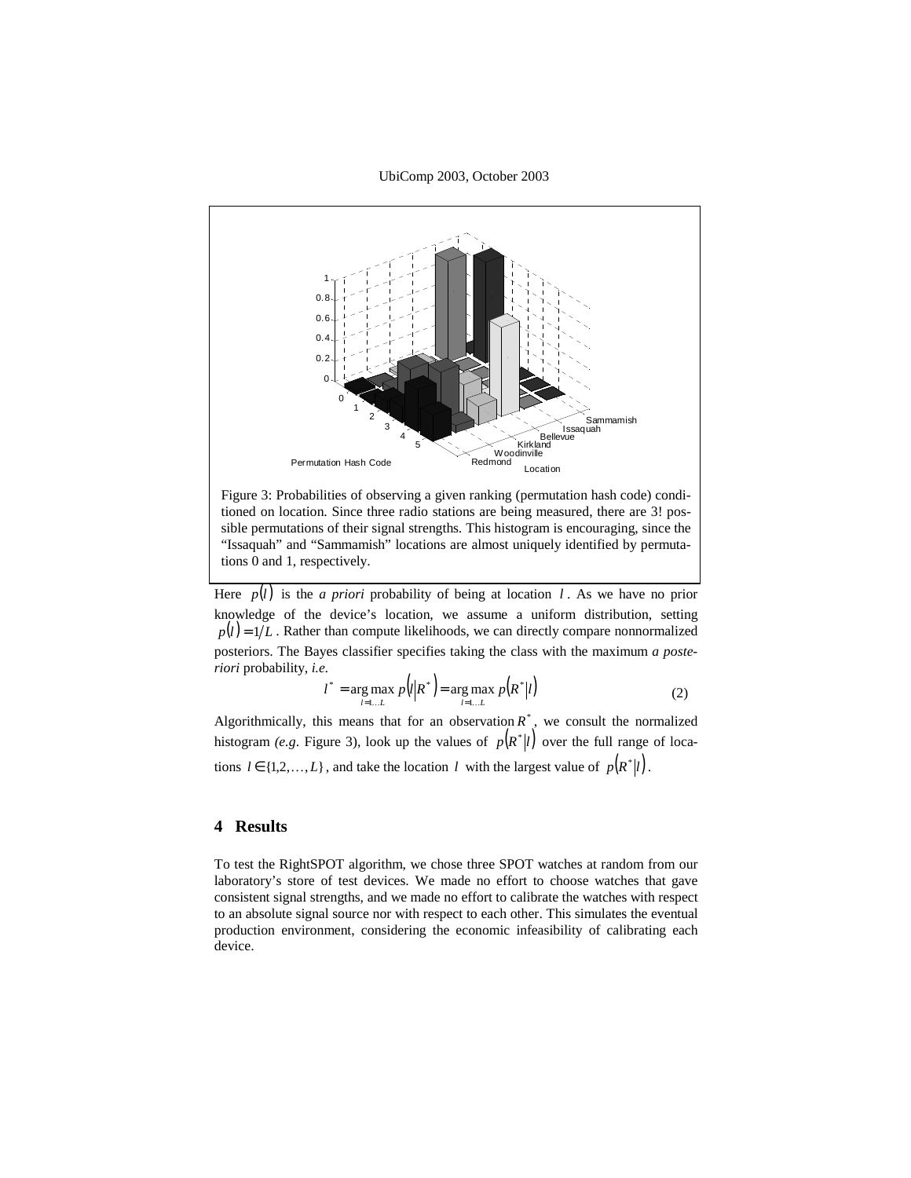UbiComp 2003, October 2003



Figure 3: Probabilities of observing a given ranking (permutation hash code) conditioned on location. Since three radio stations are being measured, there are 3! possible permutations of their signal strengths. This histogram is encouraging, since the "Issaquah" and "Sammamish" locations are almost uniquely identified by permutations 0 and 1, respectively.

Here  $p(l)$  is the *a priori* probability of being at location *l*. As we have no prior knowledge of the device's location, we assume a uniform distribution, setting  $p(l) = 1/L$ . Rather than compute likelihoods, we can directly compare nonnormalized posteriors. The Bayes classifier specifies taking the class with the maximum *a posteriori* probability, *i.e.* 

$$
l^* = \underset{l=1...L}{\arg \max} \ p(l|R^*) = \underset{l=1...L}{\arg \max} \ p(R^*|l) \tag{2}
$$

Algorithmically, this means that for an observation  $R^*$ , we consult the normalized histogram *(e.g.* Figure 3), look up the values of  $p(R^*|l)$  over the full range of locations  $l \in \{1,2,\ldots,L\}$ , and take the location *l* with the largest value of  $p(R^*|l)$ .

## **4 Results**

To test the RightSPOT algorithm, we chose three SPOT watches at random from our laboratory's store of test devices. We made no effort to choose watches that gave consistent signal strengths, and we made no effort to calibrate the watches with respect to an absolute signal source nor with respect to each other. This simulates the eventual production environment, considering the economic infeasibility of calibrating each device.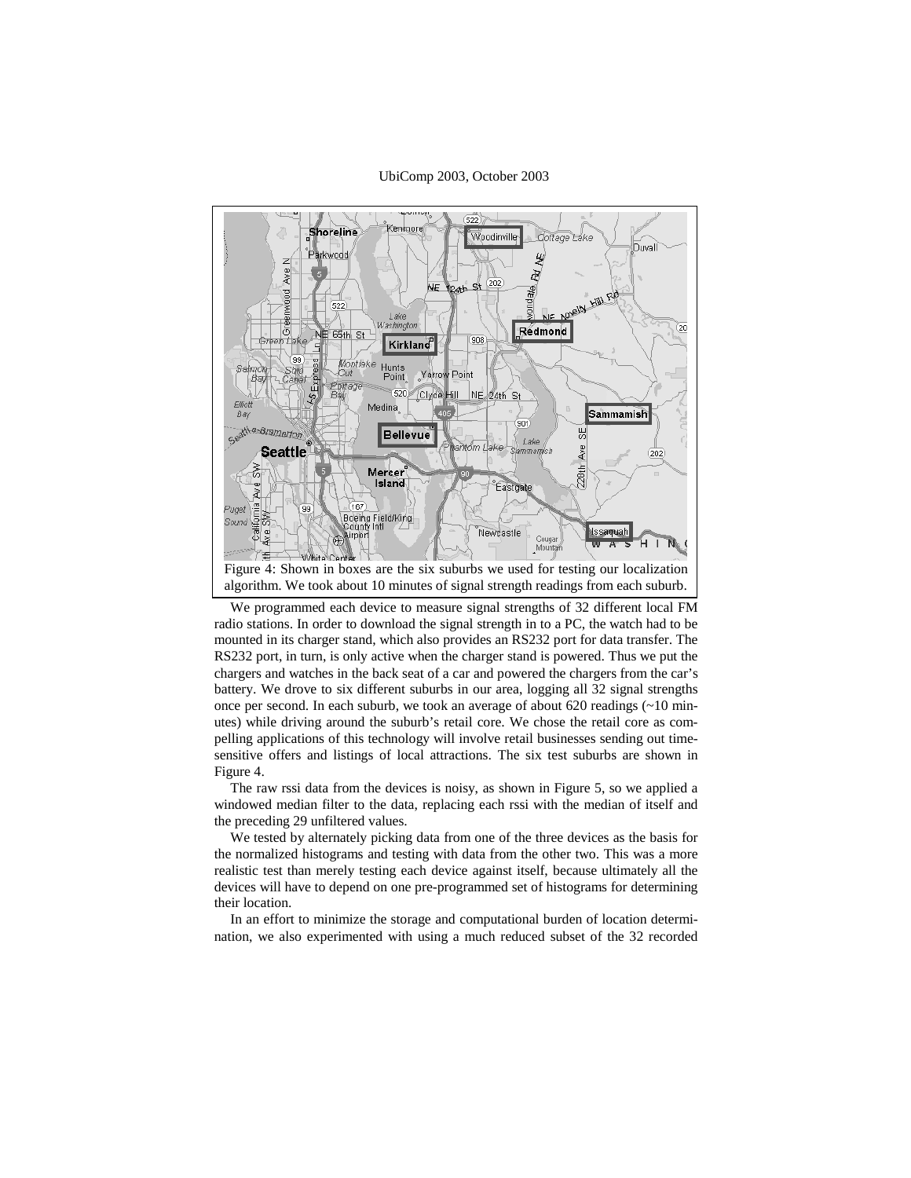#### UbiComp 2003, October 2003



We programmed each device to measure signal strengths of 32 different local FM radio stations. In order to download the signal strength in to a PC, the watch had to be mounted in its charger stand, which also provides an RS232 port for data transfer. The RS232 port, in turn, is only active when the charger stand is powered. Thus we put the chargers and watches in the back seat of a car and powered the chargers from the car's battery. We drove to six different suburbs in our area, logging all 32 signal strengths once per second. In each suburb, we took an average of about 620 readings  $\left(\sim 10 \right)$  minutes) while driving around the suburb's retail core. We chose the retail core as compelling applications of this technology will involve retail businesses sending out timesensitive offers and listings of local attractions. The six test suburbs are shown in Figure 4.

The raw rssi data from the devices is noisy, as shown in Figure 5, so we applied a windowed median filter to the data, replacing each rssi with the median of itself and the preceding 29 unfiltered values.

We tested by alternately picking data from one of the three devices as the basis for the normalized histograms and testing with data from the other two. This was a more realistic test than merely testing each device against itself, because ultimately all the devices will have to depend on one pre-programmed set of histograms for determining their location.

In an effort to minimize the storage and computational burden of location determination, we also experimented with using a much reduced subset of the 32 recorded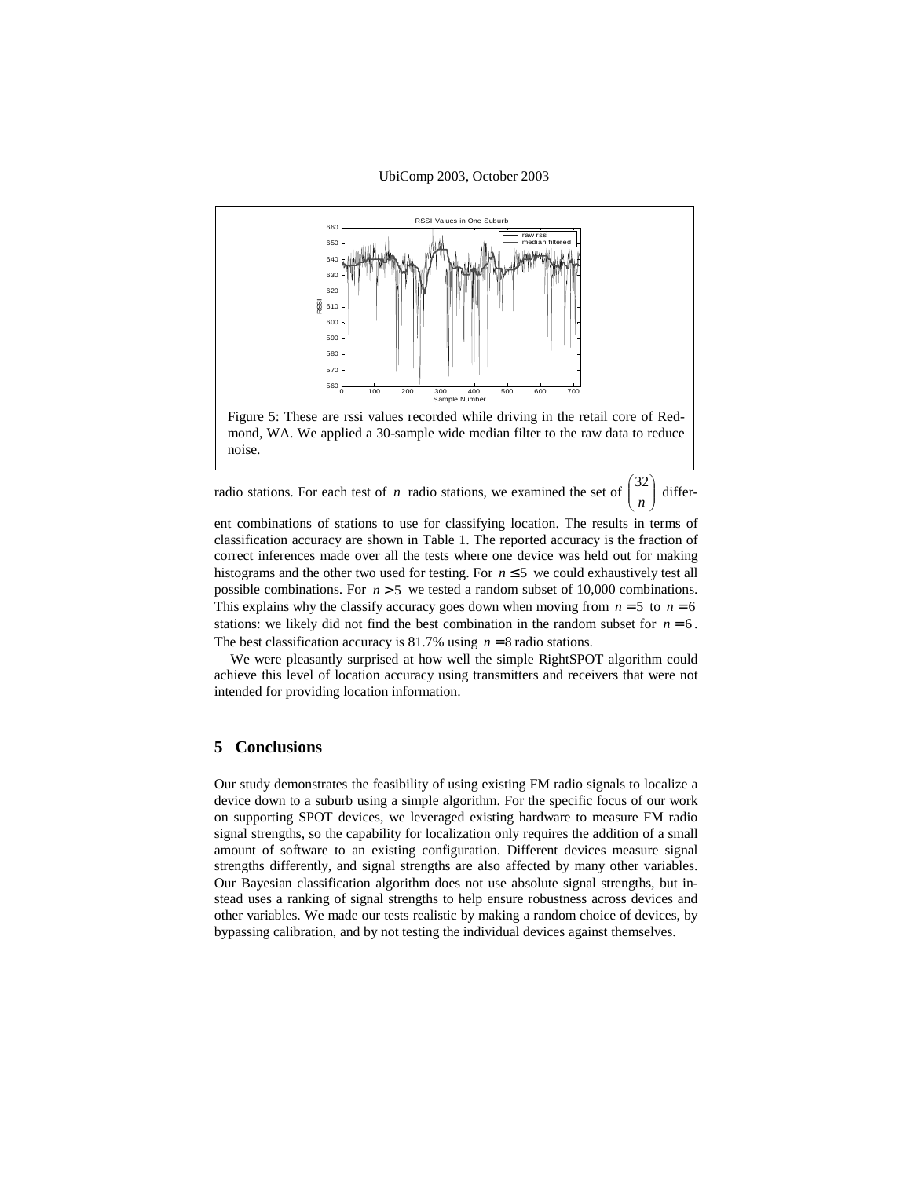

radio stations. For each test of *n* radio stations, we examined the set of  $\overline{\phantom{a}}$ J  $\backslash$  $\mathsf{I}$  $\mathsf{I}$ ∖ ſ *n* 32 differ-

ent combinations of stations to use for classifying location. The results in terms of classification accuracy are shown in Table 1. The reported accuracy is the fraction of correct inferences made over all the tests where one device was held out for making histograms and the other two used for testing. For  $n \leq 5$  we could exhaustively test all possible combinations. For  $n > 5$  we tested a random subset of 10,000 combinations. This explains why the classify accuracy goes down when moving from  $n = 5$  to  $n = 6$ stations: we likely did not find the best combination in the random subset for  $n = 6$ . The best classification accuracy is 81.7% using  $n = 8$  radio stations.

We were pleasantly surprised at how well the simple RightSPOT algorithm could achieve this level of location accuracy using transmitters and receivers that were not intended for providing location information.

#### **5 Conclusions**

Our study demonstrates the feasibility of using existing FM radio signals to localize a device down to a suburb using a simple algorithm. For the specific focus of our work on supporting SPOT devices, we leveraged existing hardware to measure FM radio signal strengths, so the capability for localization only requires the addition of a small amount of software to an existing configuration. Different devices measure signal strengths differently, and signal strengths are also affected by many other variables. Our Bayesian classification algorithm does not use absolute signal strengths, but instead uses a ranking of signal strengths to help ensure robustness across devices and other variables. We made our tests realistic by making a random choice of devices, by bypassing calibration, and by not testing the individual devices against themselves.